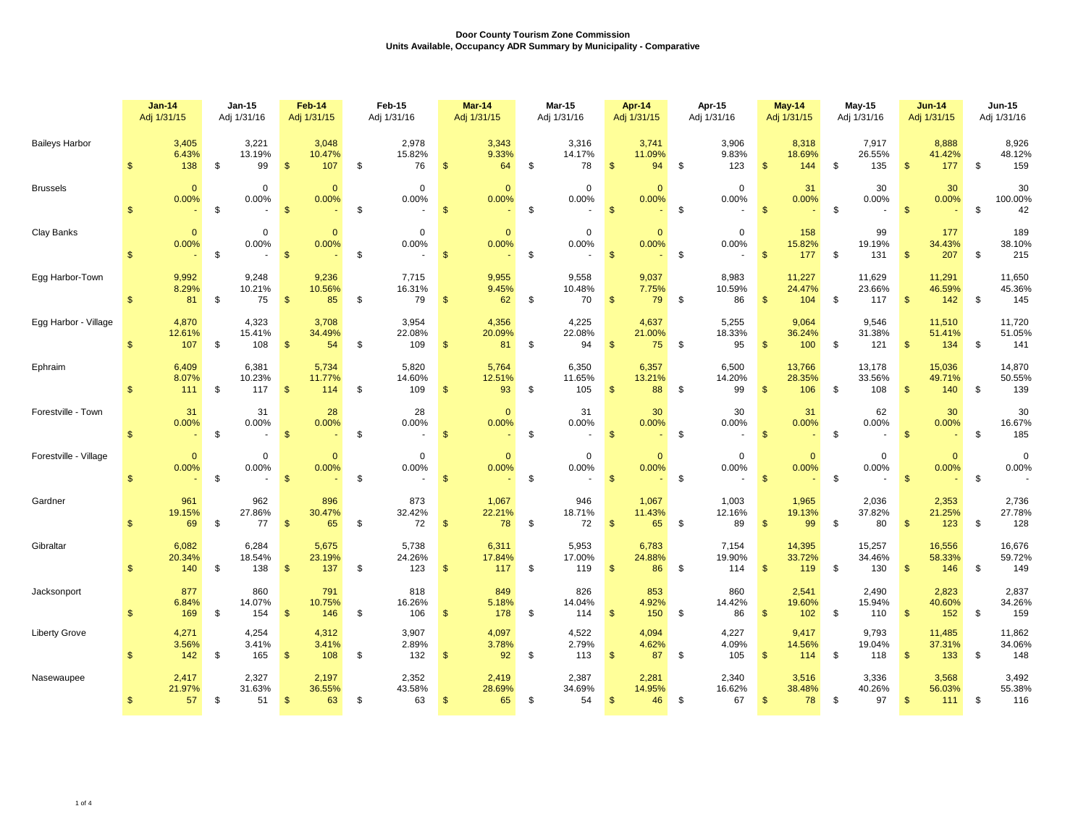|                       |                | $Jan-14$<br>Adj 1/31/15 | $Jan-15$<br>Adj 1/31/16 |                                | Feb-14<br>Adj 1/31/15 |                        | <b>Feb-15</b><br>Adj 1/31/16 |                                | <b>Mar-14</b><br>Adj 1/31/15 |                        | <b>Mar-15</b><br>Adj 1/31/16 |                                 |                    | Apr-14<br>Adj 1/31/15                   |                          | Apr-15<br>Adj 1/31/16          | <b>May-14</b><br>Adj 1/31/15 |                         | $May-15$<br>Adj 1/31/16 |                         | <b>Jun-14</b><br>Adj 1/31/15 |                         | <b>Jun-15</b><br>Adj 1/31/16 |                                |
|-----------------------|----------------|-------------------------|-------------------------|--------------------------------|-----------------------|------------------------|------------------------------|--------------------------------|------------------------------|------------------------|------------------------------|---------------------------------|--------------------|-----------------------------------------|--------------------------|--------------------------------|------------------------------|-------------------------|-------------------------|-------------------------|------------------------------|-------------------------|------------------------------|--------------------------------|
| <b>Baileys Harbor</b> | \$             | 3,405<br>6.43%<br>138   | \$                      | 3,221<br>13.19%<br>99          | $\mathfrak{s}$        | 3,048<br>10.47%<br>107 | \$                           | 2,978<br>15.82%<br>76          | \$                           | 3,343<br>9.33%<br>64   | \$                           | 3,316<br>14.17%<br>78           | $\mathbf{\$}$      | 3,741<br>11.09%<br>94                   | \$                       | 3,906<br>9.83%<br>123          | $\mathfrak{s}$               | 8,318<br>18.69%<br>144  | \$                      | 7,917<br>26.55%<br>135  | <b>S</b>                     | 8,888<br>41.42%<br>177  | \$                           | 8,926<br>48.12%<br>159         |
| <b>Brussels</b>       | $\mathbf{s}$   | $\mathbf{0}$<br>0.00%   | \$                      | $\mathbf 0$<br>0.00%           | $\mathbf{\$}$         | $\mathbf{0}$<br>0.00%  | \$                           | $\mathbf 0$<br>0.00%           | $\mathsf{\$}$                | $\mathbf{0}$<br>0.00%  | \$                           | $\mathbf 0$<br>0.00%            | $\mathbf{s}$       | $\mathbf{0}$<br>0.00%                   | \$                       | $\mathbf 0$<br>0.00%           | $\mathbf{s}$                 | 31<br>0.00%             | \$                      | 30<br>0.00%             | $\mathbf{s}$                 | 30<br>0.00%             | \$                           | 30<br>100.00%<br>42            |
| Clay Banks            | $\mathbb{S}$   | $\mathbf{0}$<br>0.00%   | \$                      | $\mathbf 0$<br>0.00%<br>$\sim$ | $\sqrt{3}$            | $\Omega$<br>0.00%      | \$                           | $\mathsf 0$<br>0.00%<br>$\sim$ | $\mathbf{\$}$                | $\mathbf{0}$<br>0.00%  | \$                           | $\mathbf 0$<br>0.00%            | $\sqrt{3}$         | $\mathbf{0}$<br>0.00%<br><b>Service</b> | - \$                     | $\mathbf 0$<br>0.00%<br>$\sim$ | $\mathbf{\hat{s}}$           | 158<br>15.82%<br>177    | \$                      | 99<br>19.19%<br>131     | $\mathbf{\$}$                | 177<br>34.43%<br>207    | \$                           | 189<br>38.10%<br>215           |
| Egg Harbor-Town       | $\mathbb{S}$   | 9,992<br>8.29%<br>81    | \$                      | 9,248<br>10.21%<br>75          | $\mathbf{\hat{s}}$    | 9,236<br>10.56%<br>85  | \$                           | 7,715<br>16.31%<br>79          | $\mathfrak{s}$               | 9,955<br>9.45%<br>62   | \$                           | 9,558<br>10.48%<br>70           | $\mathbf{s}$       | 9,037<br>7.75%<br>79                    | $^{\circ}$               | 8,983<br>10.59%<br>86          | $\mathbf{\$}$                | 11,227<br>24.47%<br>104 | \$                      | 11,629<br>23.66%<br>117 | $\mathbf{s}$                 | 11,291<br>46.59%<br>142 | - \$                         | 11,650<br>45.36%<br>145        |
| Egg Harbor - Village  | $\mathbf{s}$   | 4,870<br>12.61%<br>107  | \$                      | 4,323<br>15.41%<br>108         | $\mathbf{\$}$         | 3,708<br>34.49%<br>54  | \$                           | 3,954<br>22.08%<br>109         | $\mathfrak{s}$               | 4,356<br>20.09%<br>81  | \$                           | 4,225<br>22.08%<br>94           | $\mathbf{\$}$      | 4,637<br>21.00%<br>75                   | -\$                      | 5,255<br>18.33%<br>95          | \$                           | 9,064<br>36.24%<br>100  | \$                      | 9,546<br>31.38%<br>121  | -\$                          | 11,510<br>51.41%<br>134 | \$                           | 11,720<br>51.05%<br>141        |
| Ephraim               | $\mathbf{s}$   | 6,409<br>8.07%<br>111   | \$                      | 6,381<br>10.23%<br>117         | $\mathbf{\$}$         | 5,734<br>11.77%<br>114 | \$                           | 5,820<br>14.60%<br>109         | $\mathfrak{s}$               | 5,764<br>12.51%<br>93  | \$                           | 6,350<br>11.65%<br>105          | $\mathbf{s}$       | 6,357<br>13.21%<br>88                   | \$                       | 6,500<br>14.20%<br>99          | $\mathfrak{s}$               | 13,766<br>28.35%<br>106 | \$                      | 13,178<br>33.56%<br>108 | $\mathbf{s}$                 | 15,036<br>49.71%<br>140 | \$                           | 14,870<br>50.55%<br>139        |
| Forestville - Town    | $\mathbb{S}$   | 31<br>0.00%             | \$                      | 31<br>0.00%<br>$\sim$          | $\mathbf{\$}$         | 28<br>0.00%            | \$                           | 28<br>0.00%<br>$\sim$          | $\mathsf{\$}$                | $\mathbf{0}$<br>0.00%  | \$                           | 31<br>0.00%                     | $\mathbf{s}$       | 30<br>0.00%                             | $-$ \$                   | 30<br>0.00%                    | $\mathbf{\hat{s}}$           | 31<br>0.00%             | \$                      | 62<br>0.00%             | $\mathbf{s}$                 | 30<br>0.00%             | \$                           | 30<br>16.67%<br>185            |
| Forestville - Village | $\mathbf{s}$   | $\mathbf{0}$<br>0.00%   | \$                      | $\mathbf 0$<br>0.00%           | $\sqrt[6]{3}$         | $\mathbf{0}$<br>0.00%  | \$                           | $\mathbf 0$<br>0.00%<br>$\sim$ | \$                           | $\mathbf{0}$<br>0.00%  | \$                           | $\mathbf{0}$<br>0.00%<br>$\sim$ | $\mathbf{\hat{s}}$ | $\mathbf{0}$<br>0.00%                   | $\overline{\phantom{a}}$ | $\mathbf 0$<br>0.00%           | $\mathbf{\$}$                | $\mathbf{0}$<br>0.00%   | \$                      | $\mathbf 0$<br>0.00%    | $\sqrt{3}$                   | $\mathbf{0}$<br>0.00%   | - \$                         | $\mathbf 0$<br>0.00%<br>$\sim$ |
| Gardner               | $\mathfrak{L}$ | 961<br>19.15%<br>69     | \$                      | 962<br>27.86%<br>77            | $\mathbf{\$}$         | 896<br>30.47%<br>65    | \$                           | 873<br>32.42%<br>72            | $\mathbf{\$}$                | 1,067<br>22.21%<br>78  | \$                           | 946<br>18.71%<br>72             | $\mathbf{s}$       | 1,067<br>11.43%<br>65                   | - \$                     | 1,003<br>12.16%<br>89          | $\mathbf{s}$                 | 1,965<br>19.13%<br>99   | -\$                     | 2,036<br>37.82%<br>80   | $\mathbf{s}$                 | 2,353<br>21.25%<br>123  | \$                           | 2,736<br>27.78%<br>128         |
| Gibraltar             | $\mathcal{F}$  | 6,082<br>20.34%<br>140  | \$                      | 6,284<br>18.54%<br>138         | $\mathbf{\$}$         | 5,675<br>23.19%<br>137 | \$                           | 5,738<br>24.26%<br>123         | $\mathbf{\$}$                | 6,311<br>17.84%<br>117 | \$                           | 5,953<br>17.00%<br>119          | $\mathbf{\$}$      | 6,783<br>24.88%<br>86                   | \$                       | 7,154<br>19.90%<br>114         | $\mathfrak{s}$               | 14,395<br>33.72%<br>119 | \$                      | 15,257<br>34.46%<br>130 | $\mathbf{s}$                 | 16,556<br>58.33%<br>146 | - \$                         | 16,676<br>59.72%<br>149        |
| Jacksonport           | $\mathcal{F}$  | 877<br>6.84%<br>169     | \$                      | 860<br>14.07%<br>154           | $\mathbf{s}$          | 791<br>10.75%<br>146   | \$                           | 818<br>16.26%<br>106           | $\mathbf{\$}$                | 849<br>5.18%<br>178    | \$                           | 826<br>14.04%<br>114            | $\mathbf{\hat{s}}$ | 853<br>4.92%<br>150                     | <b>S</b>                 | 860<br>14.42%<br>86            | $\mathbf{\$}$                | 2,541<br>19.60%<br>102  | \$                      | 2,490<br>15.94%<br>110  | <b>S</b>                     | 2,823<br>40.60%<br>152  | \$                           | 2,837<br>34.26%<br>159         |
| <b>Liberty Grove</b>  |                | 4,271<br>3.56%<br>142   | \$                      | 4,254<br>3.41%<br>165          | $\sqrt[6]{3}$         | 4,312<br>3.41%<br>108  | \$                           | 3,907<br>2.89%<br>132          | \$                           | 4,097<br>3.78%<br>92   | \$                           | 4,522<br>2.79%<br>113           | $\mathfrak{s}$     | 4,094<br>4.62%<br>87                    | \$                       | 4,227<br>4.09%<br>105          | $\mathfrak{s}$               | 9,417<br>14.56%<br>114  | \$                      | 9,793<br>19.04%<br>118  | -\$                          | 11,485<br>37.31%<br>133 | \$                           | 11,862<br>34.06%<br>148        |
| Nasewaupee            | $\mathfrak{s}$ | 2,417<br>21.97%<br>57   | - \$                    | 2,327<br>31.63%<br>51          | $\frac{1}{2}$         | 2,197<br>36.55%<br>63  | \$                           | 2,352<br>43.58%<br>63          | \$                           | 2,419<br>28.69%<br>65  | \$                           | 2,387<br>34.69%<br>54           | $\mathfrak{s}$     | 2,281<br>14.95%<br>46                   | -\$                      | 2,340<br>16.62%<br>67          | $\mathfrak{s}$               | 3,516<br>38.48%<br>78   | \$                      | 3,336<br>40.26%<br>97   | $\mathbf{\$}$                | 3,568<br>56.03%<br>111  | \$                           | 3,492<br>55.38%<br>116         |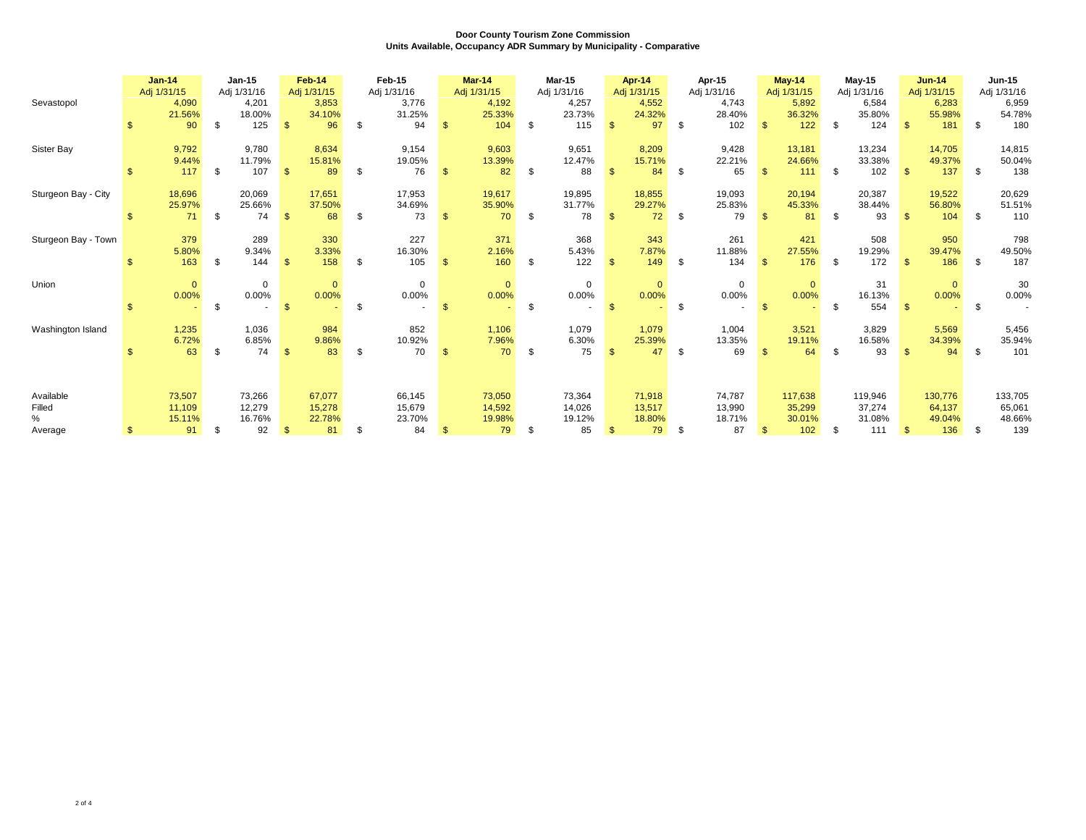|                     |    | <b>Jan-14</b><br>Adj 1/31/15 |    | $Jan-15$<br>Adj 1/31/16 |               | Feb-14<br>Adj 1/31/15  |     | Feb-15<br>Adj 1/31/16  |                | <b>Mar-14</b><br>Adj 1/31/15 |     | <b>Mar-15</b><br>Adj 1/31/16 |              | Apr-14<br>Adj 1/31/15  |      | Apr-15<br>Adj 1/31/16  |     | May-14<br>Adj 1/31/15  |      | $May-15$<br>Adj 1/31/16 |                         | $Jun-14$<br>Adj 1/31/15 |      | Jun-15<br>Adj 1/31/16   |
|---------------------|----|------------------------------|----|-------------------------|---------------|------------------------|-----|------------------------|----------------|------------------------------|-----|------------------------------|--------------|------------------------|------|------------------------|-----|------------------------|------|-------------------------|-------------------------|-------------------------|------|-------------------------|
| Sevastopol          |    | 4,090<br>21.56%              |    | 4,201<br>18.00%         |               | 3,853<br>34.10%        |     | 3,776<br>31.25%        |                | 4,192<br>25.33%              |     | 4,257<br>23.73%              |              | 4,552<br>24.32%        |      | 4,743<br>28.40%        |     | 5,892<br>36.32%        |      | 6,584<br>35.80%         |                         | 6,283<br>55.98%         |      | 6,959<br>54.78%         |
|                     | \$ | 90                           | \$ | 125                     | $\mathbb{S}$  | 96                     | \$  | 94                     | \$.            | 104                          | \$  | 115                          | $\mathbf{s}$ | 97                     | -\$  | 102                    | -\$ | 122                    | - \$ | 124                     | $\mathbb{S}$            | 181                     | \$   | 180                     |
| Sister Bay          |    | 9,792<br>9.44%               |    | 9,780<br>11.79%         |               | 8,634<br>15.81%        |     | 9,154<br>19.05%        |                | 9,603<br>13.39%              |     | 9,651<br>12.47%              |              | 8,209<br>15.71%        |      | 9,428<br>22.21%        |     | 13,181<br>24.66%       |      | 13,234<br>33.38%        |                         | 14,705<br>49.37%        |      | 14,815<br>50.04%        |
|                     |    | 117                          | \$ | 107                     | $\mathbf{s}$  | 89                     | -\$ | 76                     | \$.            | 82                           | \$  | 88                           | $\mathbf{s}$ | 84                     | - \$ | 65                     |     | 111                    | - \$ | 102                     | $\mathbf{\mathfrak{L}}$ | 137                     | - \$ | 138                     |
| Sturgeon Bay - City |    | 18,696<br>25.97%<br>71       | \$ | 20,069<br>25.66%<br>74  | $\mathbb{S}$  | 17,651<br>37.50%<br>68 | -\$ | 17,953<br>34.69%<br>73 | \$.            | 19,617<br>35.90%<br>70       | \$  | 19,895<br>31.77%<br>78       | $\mathbf{s}$ | 18,855<br>29.27%<br>72 | -\$  | 19,093<br>25.83%<br>79 |     | 20,194<br>45.33%<br>81 | \$   | 20,387<br>38.44%<br>93  | -\$                     | 19,522<br>56.80%<br>104 | - \$ | 20,629<br>51.51%<br>110 |
|                     |    |                              |    |                         |               |                        |     |                        |                |                              |     |                              |              |                        |      |                        |     |                        |      |                         |                         |                         |      |                         |
| Sturgeon Bay - Town |    | 379<br>5.80%<br>163          | \$ | 289<br>9.34%<br>144     | $\mathbf{\$}$ | 330<br>3.33%<br>158    | \$  | 227<br>16.30%<br>105   | $\mathfrak{s}$ | 371<br>2.16%<br>160          | \$  | 368<br>5.43%<br>122          | $\mathbf{s}$ | 343<br>7.87%<br>149    | -\$  | 261<br>11.88%<br>134   | -\$ | 421<br>27.55%<br>176   | \$   | 508<br>19.29%<br>172    | $\mathbf{s}$            | 950<br>39.47%<br>186    | \$   | 798<br>49.50%<br>187    |
|                     |    |                              |    |                         |               |                        |     |                        |                |                              |     |                              |              |                        |      |                        |     |                        |      |                         |                         |                         |      |                         |
| Union               |    | $\mathbf{0}$<br>0.00%        | \$ | $\mathbf 0$<br>0.00%    | $\mathbf{\$}$ | $\Omega$<br>0.00%      | \$  | $\mathbf 0$<br>0.00%   | \$.            | $\mathbf{0}$<br>0.00%        | \$  | $\mathbf 0$<br>0.00%         |              | $\mathbf{0}$<br>0.00%  | \$   | $\mathbf 0$<br>0.00%   |     | $\mathbf{0}$<br>0.00%  | \$.  | 31<br>16.13%<br>554     | $\mathbf{\$}$           | $\mathbf{0}$<br>0.00%   | \$   | 30<br>0.00%             |
|                     |    |                              |    |                         |               |                        |     |                        |                |                              |     |                              |              |                        |      |                        |     |                        |      |                         |                         |                         |      |                         |
| Washington Island   |    | 1,235<br>6.72%               | £. | 1,036<br>6.85%<br>74    | $\mathbf{s}$  | 984<br>9.86%<br>83     | -\$ | 852<br>10.92%<br>70    | \$.            | 1,106<br>7.96%<br>70         | -\$ | 1,079<br>6.30%<br>75         | $\mathbf{s}$ | 1,079<br>25.39%<br>47  | - \$ | 1,004<br>13.35%<br>69  |     | 3,521<br>19.11%<br>64  | -\$  | 3,829<br>16.58%<br>93   | $\mathcal{F}$           | 5,569<br>34.39%<br>94   | \$.  | 5,456<br>35.94%<br>101  |
|                     |    | 63                           |    |                         |               |                        |     |                        |                |                              |     |                              |              |                        |      |                        |     |                        |      |                         |                         |                         |      |                         |
|                     |    |                              |    |                         |               |                        |     |                        |                |                              |     |                              |              |                        |      |                        |     |                        |      |                         |                         |                         |      |                         |
| Available<br>Filled |    | 73,507<br>11,109             |    | 73,266<br>12,279        |               | 67,077<br>15,278       |     | 66,145<br>15,679       |                | 73,050<br>14,592             |     | 73,364<br>14.026             |              | 71,918<br>13,517       |      | 74,787<br>13,990       |     | 117,638<br>35,299      |      | 119,946<br>37,274       |                         | 130,776<br>64,137       |      | 133,705<br>65,061       |
| $\%$                | £. | 15.11%<br>91                 | \$ | 16.76%<br>92            | $\mathbb{S}$  | 22.78%<br>81           | -\$ | 23.70%<br>84           | \$.            | 19.98%<br>79                 | \$  | 19.12%<br>85                 | $\mathbf{s}$ | 18.80%<br>79           | - \$ | 18.71%<br>87           |     | 30.01%<br>102          | \$   | 31.08%<br>111           | $\mathbf{s}$            | 49.04%<br>136           | -\$  | 48.66%<br>139           |
| Average             |    |                              |    |                         |               |                        |     |                        |                |                              |     |                              |              |                        |      |                        |     |                        |      |                         |                         |                         |      |                         |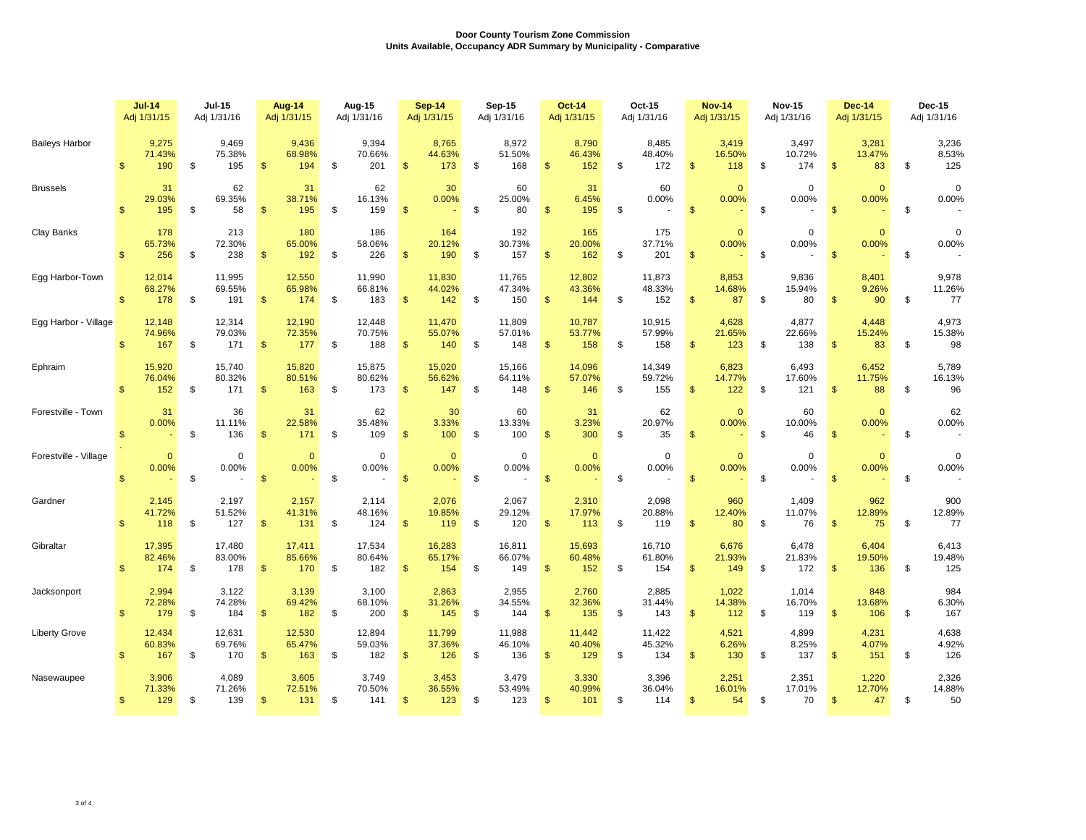|                       |                | $Jul-14$<br>Adj 1/31/15 | <b>Jul-15</b><br>Adj 1/31/16  |                | Aug-14<br>Adj 1/31/15   | Aug-15<br>Adj 1/31/16         |                    | <b>Sep-14</b><br>Adj 1/31/15 |     | Sep-15<br>Adj 1/31/16   |                | <b>Oct-14</b><br>Adj 1/31/15 | Oct-15<br>Adj 1/31/16         |                | <b>Nov-14</b><br>Adj 1/31/15 | <b>Nov-15</b><br>Adj 1/31/16 |                | <b>Dec-14</b><br>Adj 1/31/15 | <b>Dec-15</b><br>Adj 1/31/16 |
|-----------------------|----------------|-------------------------|-------------------------------|----------------|-------------------------|-------------------------------|--------------------|------------------------------|-----|-------------------------|----------------|------------------------------|-------------------------------|----------------|------------------------------|------------------------------|----------------|------------------------------|------------------------------|
| <b>Baileys Harbor</b> | $\mathfrak{s}$ | 9,275<br>71.43%<br>190  | \$<br>9,469<br>75.38%<br>195  | $\frac{3}{2}$  | 9,436<br>68.98%<br>194  | \$<br>9,394<br>70.66%<br>201  | \$                 | 8,765<br>44.63%<br>173       | \$  | 8,972<br>51.50%<br>168  | \$             | 8,790<br>46.43%<br>152       | \$<br>8,485<br>48.40%<br>172  | \$             | 3,419<br>16.50%<br>118       | \$<br>3,497<br>10.72%<br>174 | \$             | 3,281<br>13.47%<br>83        | \$<br>3,236<br>8.53%<br>125  |
| <b>Brussels</b>       | $\mathbf{s}$   | 31<br>29.03%<br>195     | \$<br>62<br>69.35%<br>58      | $\mathfrak{s}$ | 31<br>38.71%<br>195     | \$<br>62<br>16.13%<br>159     | $\mathfrak{s}$     | 30<br>0.00%                  | \$  | 60<br>25.00%<br>80      | $\mathsf{\$}$  | 31<br>6.45%<br>195           | \$<br>60<br>0.00%             | $\mathfrak{s}$ | $\mathbf{0}$<br>0.00%        | \$<br>$\mathbf 0$<br>0.00%   | $\mathfrak{s}$ | $\Omega$<br>0.00%            | \$<br>$\mathbf 0$<br>0.00%   |
| Clay Banks            | $\mathbf{s}$   | 178<br>65.73%<br>256    | \$<br>213<br>72.30%<br>238    | $\mathbf{\$}$  | 180<br>65.00%<br>192    | \$<br>186<br>58.06%<br>226    | $\mathbb{S}$       | 164<br>20.12%<br>190         | \$  | 192<br>30.73%<br>157    | $\mathbb{S}$   | 165<br>20.00%<br>162         | \$<br>175<br>37.71%<br>201    | $\mathfrak{s}$ | $\mathbf{0}$<br>0.00%        | \$<br>0<br>0.00%             | $\mathfrak{s}$ | $\mathbf{0}$<br>0.00%        | \$<br>$\mathbf 0$<br>0.00%   |
| Egg Harbor-Town       | $\mathbb{S}$   | 12,014<br>68.27%<br>178 | \$<br>11,995<br>69.55%<br>191 | $\mathbf{\$}$  | 12,550<br>65.98%<br>174 | \$<br>11,990<br>66.81%<br>183 | $\mathbf{\$}$      | 11,830<br>44.02%<br>142      | \$  | 11,765<br>47.34%<br>150 | $\mathfrak{s}$ | 12,802<br>43.36%<br>144      | \$<br>11,873<br>48.33%<br>152 | $\mathbf{\$}$  | 8,853<br>14.68%<br>87        | \$<br>9,836<br>15.94%<br>80  | $\mathfrak{S}$ | 8,401<br>9.26%<br>90         | \$<br>9,978<br>11.26%<br>77  |
| Egg Harbor - Village  | $\mathfrak{s}$ | 12,148<br>74.96%<br>167 | \$<br>12,314<br>79.03%<br>171 | $\mathbf{\$}$  | 12,190<br>72.35%<br>177 | \$<br>12,448<br>70.75%<br>188 | $\frac{1}{2}$      | 11,470<br>55.07%<br>140      | \$  | 11,809<br>57.01%<br>148 | $\mathfrak{s}$ | 10,787<br>53.77%<br>158      | \$<br>10,915<br>57.99%<br>158 | $\mathfrak{s}$ | 4,628<br>21.65%<br>123       | \$<br>4,877<br>22.66%<br>138 | \$             | 4,448<br>15.24%<br>83        | \$<br>4,973<br>15.38%<br>98  |
| Ephraim               | $\mathbf{s}$   | 15,920<br>76.04%<br>152 | \$<br>15,740<br>80.32%<br>171 | $\mathbf{\$}$  | 15,820<br>80.51%<br>163 | \$<br>15,875<br>80.62%<br>173 | $\mathfrak{s}$     | 15,020<br>56.62%<br>147      | \$  | 15,166<br>64.11%<br>148 | $\mathfrak{s}$ | 14,096<br>57.07%<br>146      | \$<br>14,349<br>59.72%<br>155 | $\mathfrak{s}$ | 6,823<br>14.77%<br>122       | \$<br>6,493<br>17.60%<br>121 | $\mathfrak{s}$ | 6,452<br>11.75%<br>88        | \$<br>5,789<br>16.13%<br>96  |
| Forestville - Town    | $\mathsf{\$}$  | 31<br>0.00%             | \$<br>36<br>11.11%<br>136     | $\mathfrak{s}$ | 31<br>22.58%<br>171     | \$<br>62<br>35.48%<br>109     | $\mathbf{\$}$      | 30<br>3.33%<br>100           | \$  | 60<br>13.33%<br>100     | $\mathsf{\$}$  | 31<br>3.23%<br>300           | \$<br>62<br>20.97%<br>35      | $\mathsf{\$}$  | $\Omega$<br>0.00%            | \$<br>60<br>10.00%<br>46     | $\mathfrak{s}$ | $\mathbf{0}$<br>0.00%        | \$<br>62<br>0.00%            |
| Forestville - Village | $\mathfrak{s}$ | $\mathbf{0}$<br>0.00%   | \$<br>$\Omega$<br>0.00%       | $\mathbf{s}$   | $\mathbf{0}$<br>0.00%   | \$<br>$\Omega$<br>0.00%       | $\mathbf{\hat{s}}$ | $\mathbf{0}$<br>0.00%        | -\$ | $\mathbf 0$<br>0.00%    | $\mathbb{S}$   | $\mathbf{0}$<br>0.00%        | \$<br>$\Omega$<br>0.00%       | $\mathbb{S}$   | $\mathbf{0}$<br>0.00%        | \$<br>0<br>0.00%             | $\mathbf{\$}$  | $\mathbf{0}$<br>0.00%        | \$<br>$\mathbf 0$<br>0.00%   |
| Gardner               | $\mathbf{s}$   | 2,145<br>41.72%<br>118  | \$<br>2,197<br>51.52%<br>127  | -S             | 2,157<br>41.31%<br>131  | \$<br>2,114<br>48.16%<br>124  | $\mathfrak{s}$     | 2,076<br>19.85%<br>119       | \$  | 2,067<br>29.12%<br>120  | $\mathfrak{s}$ | 2,310<br>17.97%<br>113       | \$<br>2,098<br>20.88%<br>119  | $\mathfrak{s}$ | 960<br>12.40%<br>80          | \$<br>1,409<br>11.07%<br>76  | $\mathfrak{s}$ | 962<br>12.89%<br>75          | \$<br>900<br>12.89%<br>77    |
| Gibraltar             | $\mathbf{s}$   | 17,395<br>82.46%<br>174 | \$<br>17,480<br>83.00%<br>178 | $\mathbf{\$}$  | 17,411<br>85.66%<br>170 | \$<br>17,534<br>80.64%<br>182 | $\mathbb{S}$       | 16,283<br>65.17%<br>154      | \$  | 16,811<br>66.07%<br>149 | $\mathfrak{S}$ | 15,693<br>60.48%<br>152      | \$<br>16,710<br>61.80%<br>154 | $\mathbf{s}$   | 6,676<br>21.93%<br>149       | \$<br>6,478<br>21.83%<br>172 | $\mathfrak{s}$ | 6,404<br>19.50%<br>136       | \$<br>6,413<br>19.48%<br>125 |
| Jacksonport           | $\mathbf{s}$   | 2,994<br>72.28%<br>179  | \$<br>3,122<br>74.28%<br>184  | $\mathbf{\$}$  | 3,139<br>69.42%<br>182  | \$<br>3,100<br>68.10%<br>200  | $\mathbf{\$}$      | 2,863<br>31.26%<br>145       | \$  | 2,955<br>34.55%<br>144  | $\mathfrak{s}$ | 2,760<br>32.36%<br>135       | \$<br>2,885<br>31.44%<br>143  | $\mathfrak{s}$ | 1,022<br>14.38%<br>112       | \$<br>1,014<br>16.70%<br>119 | $\mathfrak{s}$ | 848<br>13.68%<br>106         | \$<br>984<br>6.30%<br>167    |
| <b>Liberty Grove</b>  | $\mathbf{s}$   | 12,434<br>60.83%<br>167 | \$<br>12,631<br>69.76%<br>170 | $\mathbf{\$}$  | 12,530<br>65.47%<br>163 | \$<br>12,894<br>59.03%<br>182 | $\mathfrak{s}$     | 11,799<br>37.36%<br>126      | \$  | 11,988<br>46.10%<br>136 | $\mathsf{\$}$  | 11,442<br>40.40%<br>129      | \$<br>11,422<br>45.32%<br>134 | $\mathsf{\$}$  | 4,521<br>6.26%<br>130        | \$<br>4,899<br>8.25%<br>137  | $\mathfrak{s}$ | 4,231<br>4.07%<br>151        | \$<br>4,638<br>4.92%<br>126  |
| Nasewaupee            | $\mathfrak{S}$ | 3,906<br>71.33%<br>129  | \$<br>4,089<br>71.26%<br>139  | $\frac{1}{2}$  | 3,605<br>72.51%<br>131  | \$<br>3,749<br>70.50%<br>141  | $\mathfrak{s}$     | 3,453<br>36.55%<br>123       | \$  | 3,479<br>53.49%<br>123  | \$             | 3,330<br>40.99%<br>101       | \$<br>3,396<br>36.04%<br>114  | $\mathfrak{s}$ | 2,251<br>16.01%<br>54        | \$<br>2,351<br>17.01%<br>70  | $\mathfrak{s}$ | 1,220<br>12.70%<br>47        | \$<br>2,326<br>14.88%<br>50  |